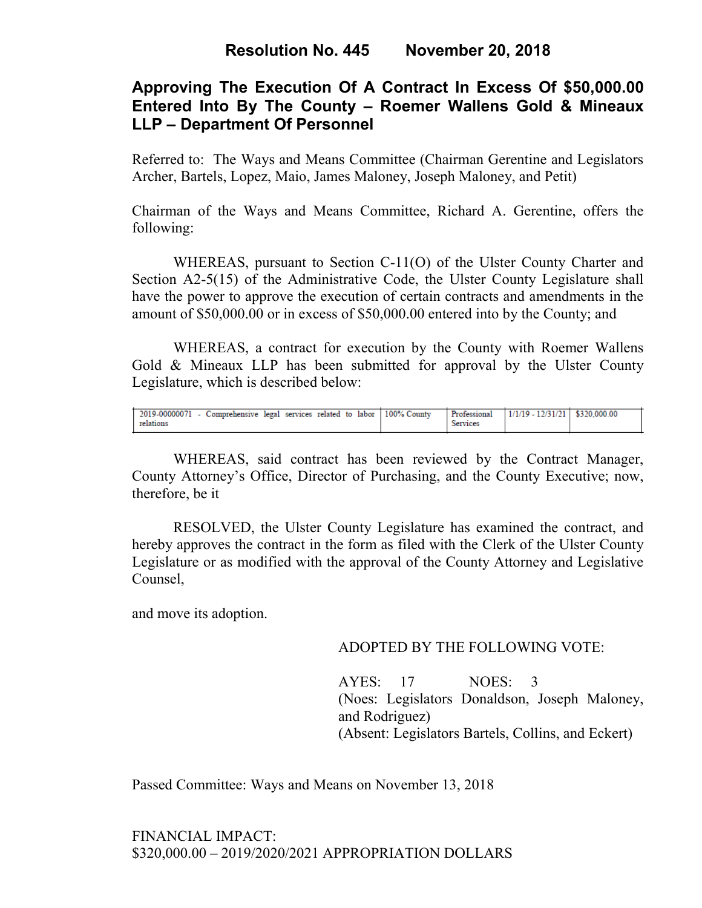## **Approving The Execution Of A Contract In Excess Of \$50,000.00 Entered Into By The County – Roemer Wallens Gold & Mineaux LLP – Department Of Personnel**

Referred to: The Ways and Means Committee (Chairman Gerentine and Legislators Archer, Bartels, Lopez, Maio, James Maloney, Joseph Maloney, and Petit)

Chairman of the Ways and Means Committee, Richard A. Gerentine, offers the following:

WHEREAS, pursuant to Section C-11(O) of the Ulster County Charter and Section A2-5(15) of the Administrative Code, the Ulster County Legislature shall have the power to approve the execution of certain contracts and amendments in the amount of \$50,000.00 or in excess of \$50,000.00 entered into by the County; and

WHEREAS, a contract for execution by the County with Roemer Wallens Gold & Mineaux LLP has been submitted for approval by the Ulster County Legislature, which is described below:

| 2019-00000071 - Comprehensive legal services related to labor 100% County<br>relations | Professional<br>Services | $1/1/19 - 12/31/21$ \$320,000.00 |  |
|----------------------------------------------------------------------------------------|--------------------------|----------------------------------|--|

WHEREAS, said contract has been reviewed by the Contract Manager, County Attorney's Office, Director of Purchasing, and the County Executive; now, therefore, be it

RESOLVED, the Ulster County Legislature has examined the contract, and hereby approves the contract in the form as filed with the Clerk of the Ulster County Legislature or as modified with the approval of the County Attorney and Legislative Counsel,

and move its adoption.

#### ADOPTED BY THE FOLLOWING VOTE:

AYES: 17 NOES: 3 (Noes: Legislators Donaldson, Joseph Maloney, and Rodriguez) (Absent: Legislators Bartels, Collins, and Eckert)

Passed Committee: Ways and Means on November 13, 2018

FINANCIAL IMPACT: \$320,000.00 – 2019/2020/2021 APPROPRIATION DOLLARS